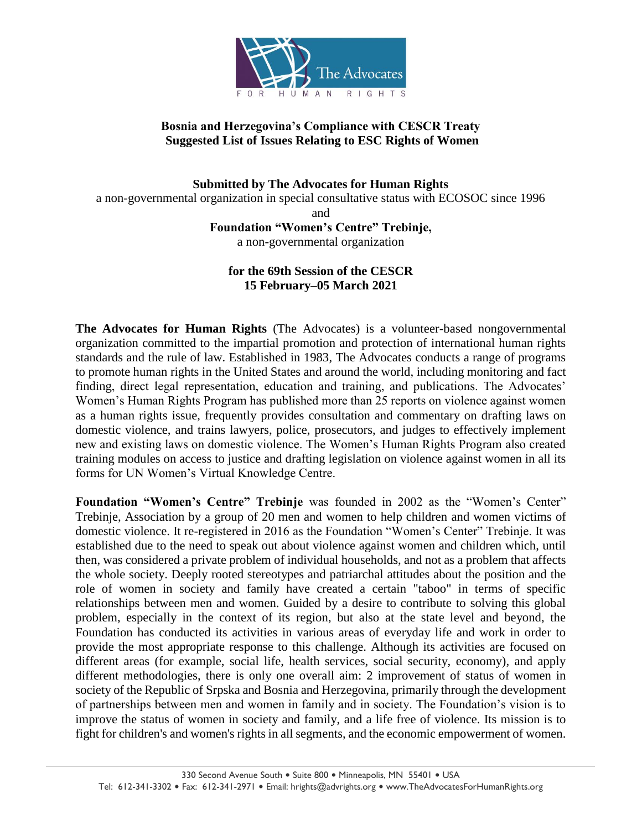

#### **Bosnia and Herzegovina's Compliance with CESCR Treaty Suggested List of Issues Relating to ESC Rights of Women**

**Submitted by The Advocates for Human Rights** a non-governmental organization in special consultative status with ECOSOC since 1996 and **Foundation "Women's Centre" Trebinje,** 

a non-governmental organization

### **for the 69th Session of the CESCR 15 February–05 March 2021**

**The Advocates for Human Rights** (The Advocates) is a volunteer-based nongovernmental organization committed to the impartial promotion and protection of international human rights standards and the rule of law. Established in 1983, The Advocates conducts a range of programs to promote human rights in the United States and around the world, including monitoring and fact finding, direct legal representation, education and training, and publications. The Advocates' Women's Human Rights Program has published more than 25 reports on violence against women as a human rights issue, frequently provides consultation and commentary on drafting laws on domestic violence, and trains lawyers, police, prosecutors, and judges to effectively implement new and existing laws on domestic violence. The Women's Human Rights Program also created training modules on access to justice and drafting legislation on violence against women in all its forms for UN Women's Virtual Knowledge Centre.

**Foundation "Women's Centre" Trebinje** was founded in 2002 as the "Women's Center" Trebinje, Association by a group of 20 men and women to help children and women victims of domestic violence. It re-registered in 2016 as the Foundation "Women's Center" Trebinje. It was established due to the need to speak out about violence against women and children which, until then, was considered a private problem of individual households, and not as a problem that affects the whole society. Deeply rooted stereotypes and patriarchal attitudes about the position and the role of women in society and family have created a certain "taboo" in terms of specific relationships between men and women. Guided by a desire to contribute to solving this global problem, especially in the context of its region, but also at the state level and beyond, the Foundation has conducted its activities in various areas of everyday life and work in order to provide the most appropriate response to this challenge. Although its activities are focused on different areas (for example, social life, health services, social security, economy), and apply different methodologies, there is only one overall aim: 2 improvement of status of women in society of the Republic of Srpska and Bosnia and Herzegovina, primarily through the development of partnerships between men and women in family and in society. The Foundation's vision is to improve the status of women in society and family, and a life free of violence. Its mission is to fight for children's and women's rights in all segments, and the economic empowerment of women.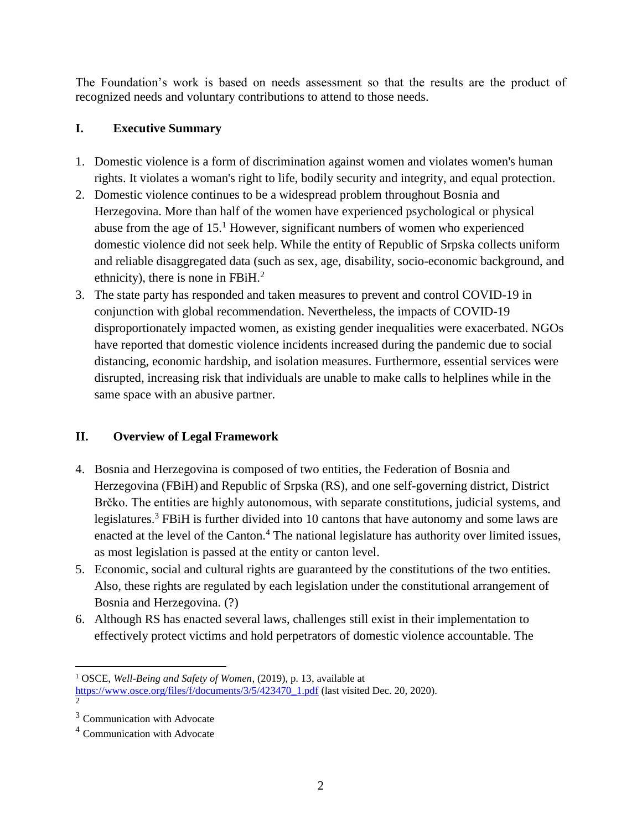The Foundation's work is based on needs assessment so that the results are the product of recognized needs and voluntary contributions to attend to those needs.

# **I. Executive Summary**

- 1. Domestic violence is a form of discrimination against women and violates women's human rights. It violates a woman's right to life, bodily security and integrity, and equal protection.
- 2. Domestic violence continues to be a widespread problem throughout Bosnia and Herzegovina. More than half of the women have experienced psychological or physical abuse from the age of  $15<sup>1</sup>$  However, significant numbers of women who experienced domestic violence did not seek help. While the entity of Republic of Srpska collects uniform and reliable disaggregated data (such as sex, age, disability, socio-economic background, and ethnicity), there is none in FBiH. $^{2}$
- 3. The state party has responded and taken measures to prevent and control COVID-19 in conjunction with global recommendation. Nevertheless, the impacts of COVID-19 disproportionately impacted women, as existing gender inequalities were exacerbated. NGOs have reported that domestic violence incidents increased during the pandemic due to social distancing, economic hardship, and isolation measures. Furthermore, essential services were disrupted, increasing risk that individuals are unable to make calls to helplines while in the same space with an abusive partner.

# **II. Overview of Legal Framework**

- 4. Bosnia and Herzegovina is composed of two entities, the Federation of Bosnia and Herzegovina (FBiH) and Republic of Srpska (RS), and one self-governing district, District Brčko. The entities are highly autonomous, with separate constitutions, judicial systems, and legislatures.<sup>3</sup> FBiH is further divided into 10 cantons that have autonomy and some laws are enacted at the level of the Canton.<sup>4</sup> The national legislature has authority over limited issues, as most legislation is passed at the entity or canton level.
- 5. Economic, social and cultural rights are guaranteed by the constitutions of the two entities. Also, these rights are regulated by each legislation under the constitutional arrangement of Bosnia and Herzegovina. (?)
- 6. Although RS has enacted several laws, challenges still exist in their implementation to effectively protect victims and hold perpetrators of domestic violence accountable. The

 $\overline{a}$ <sup>1</sup> OSCE, *Well-Being and Safety of Women*, (2019), p. 13, available at

[https://www.osce.org/files/f/documents/3/5/423470\\_1.pdf](https://www.osce.org/files/f/documents/3/5/423470_1.pdf) (last visited Dec. 20, 2020). 2

<sup>&</sup>lt;sup>3</sup> Communication with Advocate

<sup>4</sup> Communication with Advocate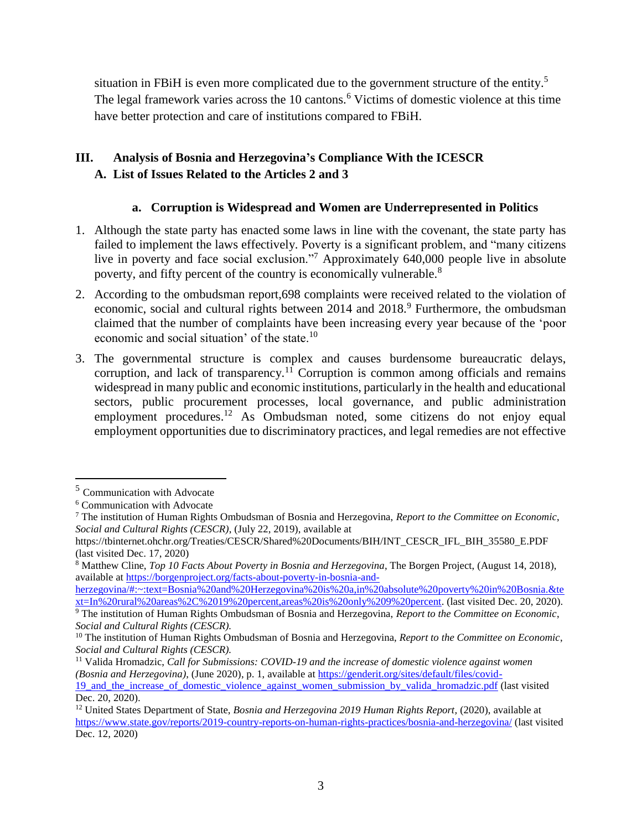situation in FBiH is even more complicated due to the government structure of the entity.<sup>5</sup> The legal framework varies across the 10 cantons.<sup>6</sup> Victims of domestic violence at this time have better protection and care of institutions compared to FBiH.

# **III. Analysis of Bosnia and Herzegovina's Compliance With the ICESCR A. List of Issues Related to the Articles 2 and 3**

#### **a. Corruption is Widespread and Women are Underrepresented in Politics**

- 1. Although the state party has enacted some laws in line with the covenant, the state party has failed to implement the laws effectively. Poverty is a significant problem, and "many citizens live in poverty and face social exclusion."<sup>7</sup> Approximately 640,000 people live in absolute poverty, and fifty percent of the country is economically vulnerable.<sup>8</sup>
- 2. According to the ombudsman report,698 complaints were received related to the violation of economic, social and cultural rights between 2014 and 2018.<sup>9</sup> Furthermore, the ombudsman claimed that the number of complaints have been increasing every year because of the 'poor economic and social situation' of the state.<sup>10</sup>
- 3. The governmental structure is complex and causes burdensome bureaucratic delays, corruption, and lack of transparency.<sup>11</sup> Corruption is common among officials and remains widespread in many public and economic institutions, particularly in the health and educational sectors, public procurement processes, local governance, and public administration employment procedures.<sup>12</sup> As Ombudsman noted, some citizens do not enjoy equal employment opportunities due to discriminatory practices, and legal remedies are not effective

<sup>5</sup> Communication with Advocate

<sup>6</sup> Communication with Advocate

<sup>7</sup> The institution of Human Rights Ombudsman of Bosnia and Herzegovina, *Report to the Committee on Economic*, *Social and Cultural Rights (CESCR)*, (July 22, 2019), available at

https://tbinternet.ohchr.org/Treaties/CESCR/Shared%20Documents/BIH/INT\_CESCR\_IFL\_BIH\_35580\_E.PDF (last visited Dec. 17, 2020)

<sup>8</sup> Matthew Cline, *Top 10 Facts About Poverty in Bosnia and Herzegovina*, The Borgen Project, (August 14, 2018), available at [https://borgenproject.org/facts-about-poverty-in-bosnia-and-](https://borgenproject.org/facts-about-poverty-in-bosnia-and-herzegovina/#:~:text=Bosnia%20and%20Herzegovina%20is%20a,in%20absolute%20poverty%20in%20Bosnia.&text=In%20rural%20areas%2C%2019%20percent,areas%20is%20only%209%20percent)

[herzegovina/#:~:text=Bosnia%20and%20Herzegovina%20is%20a,in%20absolute%20poverty%20in%20Bosnia.&te](https://borgenproject.org/facts-about-poverty-in-bosnia-and-herzegovina/#:~:text=Bosnia%20and%20Herzegovina%20is%20a,in%20absolute%20poverty%20in%20Bosnia.&text=In%20rural%20areas%2C%2019%20percent,areas%20is%20only%209%20percent) [xt=In%20rural%20areas%2C%2019%20percent,areas%20is%20only%209%20percent.](https://borgenproject.org/facts-about-poverty-in-bosnia-and-herzegovina/#:~:text=Bosnia%20and%20Herzegovina%20is%20a,in%20absolute%20poverty%20in%20Bosnia.&text=In%20rural%20areas%2C%2019%20percent,areas%20is%20only%209%20percent) (last visited Dec. 20, 2020). <sup>9</sup> The institution of Human Rights Ombudsman of Bosnia and Herzegovina, *Report to the Committee on Economic*, *Social and Cultural Rights (CESCR).*

<sup>10</sup> The institution of Human Rights Ombudsman of Bosnia and Herzegovina, *Report to the Committee on Economic*, *Social and Cultural Rights (CESCR).*

<sup>11</sup> Valida Hromadzic, *Call for Submissions: COVID-19 and the increase of domestic violence against women (Bosnia and Herzegovina)*, (June 2020), p. 1, available at [https://genderit.org/sites/default/files/covid-](https://genderit.org/sites/default/files/covid-19_and_the_increase_of_domestic_violence_against_women_submission_by_valida_hromadzic.pdf)[19\\_and\\_the\\_increase\\_of\\_domestic\\_violence\\_against\\_women\\_submission\\_by\\_valida\\_hromadzic.pdf](https://genderit.org/sites/default/files/covid-19_and_the_increase_of_domestic_violence_against_women_submission_by_valida_hromadzic.pdf) (last visited Dec. 20, 2020).

<sup>&</sup>lt;sup>12</sup> United States Department of State, *Bosnia and Herzegovina 2019 Human Rights Report*, (2020), available at <https://www.state.gov/reports/2019-country-reports-on-human-rights-practices/bosnia-and-herzegovina/> (last visited Dec. 12, 2020)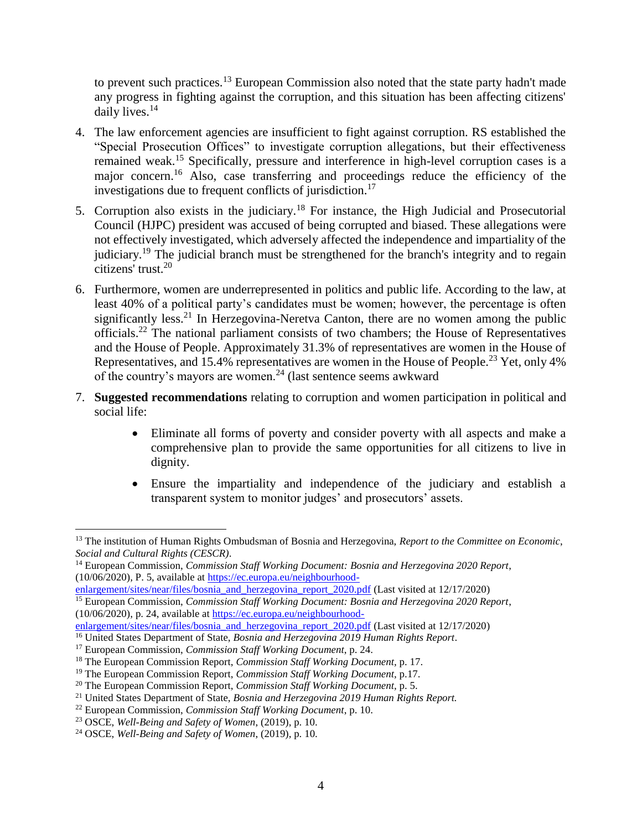to prevent such practices.<sup>13</sup> European Commission also noted that the state party hadn't made any progress in fighting against the corruption, and this situation has been affecting citizens' daily lives.<sup>14</sup>

- 4. The law enforcement agencies are insufficient to fight against corruption. RS established the "Special Prosecution Offices" to investigate corruption allegations, but their effectiveness remained weak.<sup>15</sup> Specifically, pressure and interference in high-level corruption cases is a major concern.<sup>16</sup> Also, case transferring and proceedings reduce the efficiency of the investigations due to frequent conflicts of jurisdiction.<sup>17</sup>
- 5. Corruption also exists in the judiciary.<sup>18</sup> For instance, the High Judicial and Prosecutorial Council (HJPC) president was accused of being corrupted and biased. These allegations were not effectively investigated, which adversely affected the independence and impartiality of the judiciary.<sup>19</sup> The judicial branch must be strengthened for the branch's integrity and to regain citizens' trust.<sup>20</sup>
- 6. Furthermore, women are underrepresented in politics and public life. According to the law, at least 40% of a political party's candidates must be women; however, the percentage is often significantly less.<sup>21</sup> In Herzegovina-Neretva Canton, there are no women among the public officials.<sup>22</sup> The national parliament consists of two chambers; the House of Representatives and the House of People. Approximately 31.3% of representatives are women in the House of Representatives, and 15.4% representatives are women in the House of People.<sup>23</sup> Yet, only 4% of the country's mayors are women.<sup>24</sup> (last sentence seems awkward
- 7. **Suggested recommendations** relating to corruption and women participation in political and social life:
	- Eliminate all forms of poverty and consider poverty with all aspects and make a comprehensive plan to provide the same opportunities for all citizens to live in dignity.
	- Ensure the impartiality and independence of the judiciary and establish a transparent system to monitor judges' and prosecutors' assets.

 $\overline{a}$ <sup>13</sup> The institution of Human Rights Ombudsman of Bosnia and Herzegovina, *Report to the Committee on Economic*, *Social and Cultural Rights (CESCR)*.

<sup>14</sup> European Commission, *Commission Staff Working Document: Bosnia and Herzegovina 2020 Report*, (10/06/2020), P. 5, available at [https://ec.europa.eu/neighbourhood-](https://ec.europa.eu/neighbourhood-enlargement/sites/near/files/bosnia_and_herzegovina_report_2020.pdf)

[enlargement/sites/near/files/bosnia\\_and\\_herzegovina\\_report\\_2020.pdf](https://ec.europa.eu/neighbourhood-enlargement/sites/near/files/bosnia_and_herzegovina_report_2020.pdf) (Last visited at 12/17/2020)

<sup>15</sup> European Commission, *Commission Staff Working Document: Bosnia and Herzegovina 2020 Report*, (10/06/2020), p. 24, available a[t https://ec.europa.eu/neighbourhood-](https://ec.europa.eu/neighbourhood-enlargement/sites/near/files/bosnia_and_herzegovina_report_2020.pdf)

[enlargement/sites/near/files/bosnia\\_and\\_herzegovina\\_report\\_2020.pdf](https://ec.europa.eu/neighbourhood-enlargement/sites/near/files/bosnia_and_herzegovina_report_2020.pdf) (Last visited at 12/17/2020)

<sup>16</sup> United States Department of State, *Bosnia and Herzegovina 2019 Human Rights Report*.

<sup>17</sup> European Commission, *Commission Staff Working Document*, p. 24.

<sup>18</sup> The European Commission Report, *Commission Staff Working Document,* p. 17.

<sup>19</sup> The European Commission Report, *Commission Staff Working Document,* p.17.

<sup>20</sup> The European Commission Report, *Commission Staff Working Document,* p. 5.

<sup>21</sup> United States Department of State, *Bosnia and Herzegovina 2019 Human Rights Report.*

<sup>22</sup> European Commission, *Commission Staff Working Document*, p. 10.

<sup>23</sup> OSCE, *Well-Being and Safety of Women*, (2019), p. 10.

<sup>24</sup> OSCE, *Well-Being and Safety of Women*, (2019), p. 10.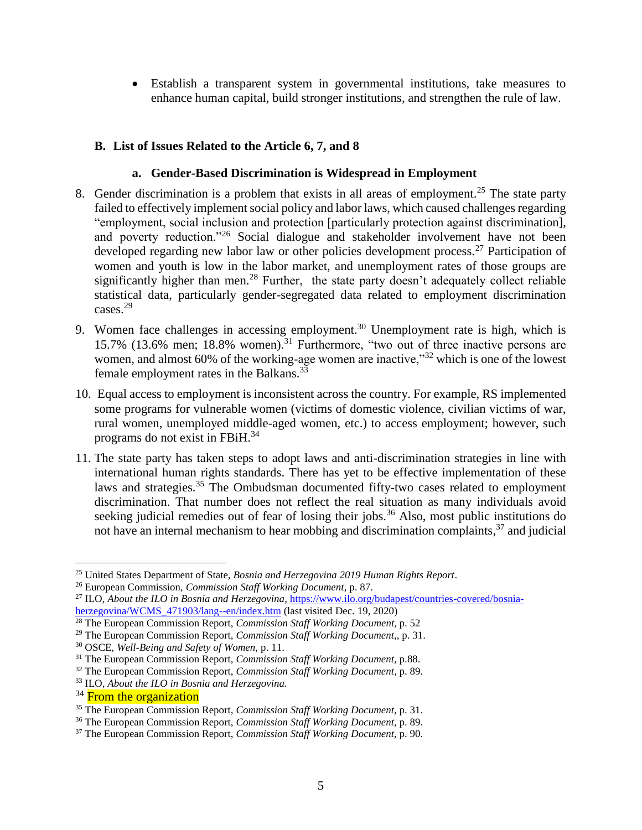Establish a transparent system in governmental institutions, take measures to enhance human capital, build stronger institutions, and strengthen the rule of law.

#### **B. List of Issues Related to the Article 6, 7, and 8**

#### **a. Gender-Based Discrimination is Widespread in Employment**

- 8. Gender discrimination is a problem that exists in all areas of employment.<sup>25</sup> The state party failed to effectively implement social policy and labor laws, which caused challenges regarding "employment, social inclusion and protection [particularly protection against discrimination], and poverty reduction."<sup>26</sup> Social dialogue and stakeholder involvement have not been developed regarding new labor law or other policies development process.<sup>27</sup> Participation of women and youth is low in the labor market, and unemployment rates of those groups are significantly higher than men.<sup>28</sup> Further, the state party doesn't adequately collect reliable statistical data, particularly gender-segregated data related to employment discrimination cases.<sup>29</sup>
- 9. Women face challenges in accessing employment.<sup>30</sup> Unemployment rate is high, which is 15.7% (13.6% men; 18.8% women).<sup>31</sup> Furthermore, "two out of three inactive persons are women, and almost 60% of the working-age women are inactive,"<sup>32</sup> which is one of the lowest female employment rates in the Balkans.<sup>33</sup>
- 10. Equal access to employment is inconsistent across the country. For example, RS implemented some programs for vulnerable women (victims of domestic violence, civilian victims of war, rural women, unemployed middle-aged women, etc.) to access employment; however, such programs do not exist in FBiH.<sup>34</sup>
- 11. The state party has taken steps to adopt laws and anti-discrimination strategies in line with international human rights standards. There has yet to be effective implementation of these laws and strategies.<sup>35</sup> The Ombudsman documented fifty-two cases related to employment discrimination. That number does not reflect the real situation as many individuals avoid seeking judicial remedies out of fear of losing their jobs.<sup>36</sup> Also, most public institutions do not have an internal mechanism to hear mobbing and discrimination complaints,<sup>37</sup> and judicial

<sup>25</sup> United States Department of State, *Bosnia and Herzegovina 2019 Human Rights Report*.

<sup>26</sup> European Commission, *Commission Staff Working Document*, p. 87.

<sup>&</sup>lt;sup>27</sup> ILO, *About the ILO in Bosnia and Herzegovina*[, https://www.ilo.org/budapest/countries-covered/bosnia](https://www.ilo.org/budapest/countries-covered/bosnia-herzegovina/WCMS_471903/lang--en/index.htm)[herzegovina/WCMS\\_471903/lang--en/index.htm](https://www.ilo.org/budapest/countries-covered/bosnia-herzegovina/WCMS_471903/lang--en/index.htm) (last visited Dec. 19, 2020)

<sup>28</sup> The European Commission Report, *Commission Staff Working Document,* p. 52

<sup>29</sup> The European Commission Report, *Commission Staff Working Document,*, p. 31.

<sup>30</sup> OSCE, *Well-Being and Safety of Women,* p. 11.

<sup>31</sup> The European Commission Report, *Commission Staff Working Document,* p.88.

<sup>32</sup> The European Commission Report, *Commission Staff Working Document*, p. 89.

<sup>33</sup> ILO, *About the ILO in Bosnia and Herzegovina.*

<sup>&</sup>lt;sup>34</sup> From the organization

<sup>35</sup> The European Commission Report, *Commission Staff Working Document,* p. 31.

<sup>36</sup> The European Commission Report, *Commission Staff Working Document,* p. 89.

<sup>37</sup> The European Commission Report, *Commission Staff Working Document,* p. 90.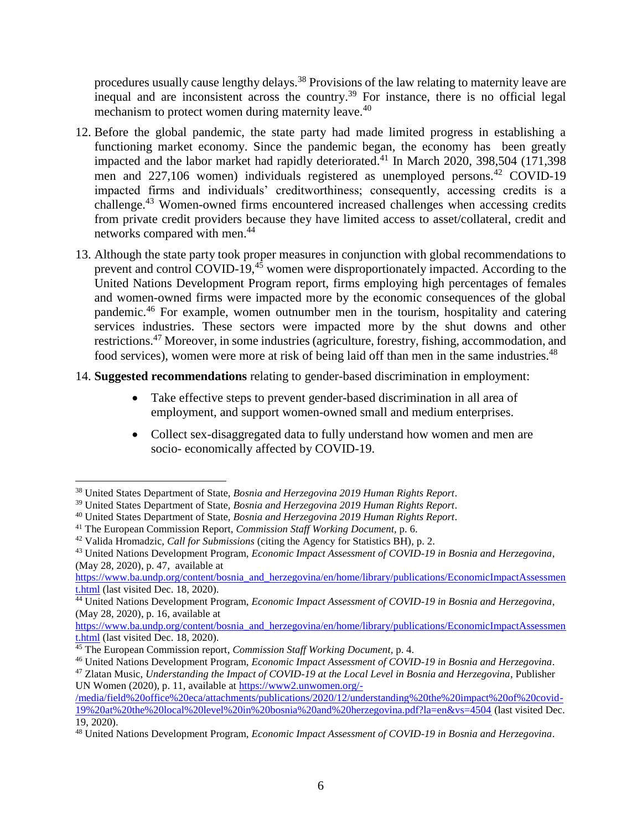procedures usually cause lengthy delays.<sup>38</sup> Provisions of the law relating to maternity leave are inequal and are inconsistent across the country.<sup>39</sup> For instance, there is no official legal mechanism to protect women during maternity leave.<sup>40</sup>

- 12. Before the global pandemic, the state party had made limited progress in establishing a functioning market economy. Since the pandemic began, the economy has been greatly impacted and the labor market had rapidly deteriorated. <sup>41</sup> In March 2020, 398,504 (171,398 men and  $227,106$  women) individuals registered as unemployed persons.<sup>42</sup> COVID-19 impacted firms and individuals' creditworthiness; consequently, accessing credits is a challenge.<sup>43</sup> Women-owned firms encountered increased challenges when accessing credits from private credit providers because they have limited access to asset/collateral, credit and networks compared with men. 44
- 13. Although the state party took proper measures in conjunction with global recommendations to prevent and control COVID-19,<sup>45</sup> women were disproportionately impacted. According to the United Nations Development Program report, firms employing high percentages of females and women-owned firms were impacted more by the economic consequences of the global pandemic.<sup>46</sup> For example, women outnumber men in the tourism, hospitality and catering services industries. These sectors were impacted more by the shut downs and other restrictions.<sup>47</sup> Moreover, in some industries (agriculture, forestry, fishing, accommodation, and food services), women were more at risk of being laid off than men in the same industries.<sup>48</sup>
- 14. **Suggested recommendations** relating to gender-based discrimination in employment:
	- Take effective steps to prevent gender-based discrimination in all area of employment, and support women-owned small and medium enterprises.
	- Collect sex-disaggregated data to fully understand how women and men are socio- economically affected by COVID-19.

<sup>38</sup> United States Department of State, *Bosnia and Herzegovina 2019 Human Rights Report*.

<sup>39</sup> United States Department of State, *Bosnia and Herzegovina 2019 Human Rights Report*.

<sup>40</sup> United States Department of State, *Bosnia and Herzegovina 2019 Human Rights Report*.

<sup>41</sup> The European Commission Report, *Commission Staff Working Document,* p. 6.

<sup>42</sup> Valida Hromadzic, *Call for Submissions* (citing the Agency for Statistics BH), p. 2.

<sup>43</sup> United Nations Development Program, *Economic Impact Assessment of COVID-19 in Bosnia and Herzegovina*, (May 28, 2020), p. 47, available at

[https://www.ba.undp.org/content/bosnia\\_and\\_herzegovina/en/home/library/publications/EconomicImpactAssessmen](https://www.ba.undp.org/content/bosnia_and_herzegovina/en/home/library/publications/EconomicImpactAssessment.html) [t.html](https://www.ba.undp.org/content/bosnia_and_herzegovina/en/home/library/publications/EconomicImpactAssessment.html) (last visited Dec. 18, 2020).

<sup>&</sup>lt;sup>44</sup> United Nations Development Program, *Economic Impact Assessment of COVID-19 in Bosnia and Herzegovina*, (May 28, 2020), p. 16, available at

[https://www.ba.undp.org/content/bosnia\\_and\\_herzegovina/en/home/library/publications/EconomicImpactAssessmen](https://www.ba.undp.org/content/bosnia_and_herzegovina/en/home/library/publications/EconomicImpactAssessment.html) [t.html](https://www.ba.undp.org/content/bosnia_and_herzegovina/en/home/library/publications/EconomicImpactAssessment.html) (last visited Dec. 18, 2020).

<sup>45</sup> The European Commission report, *Commission Staff Working Document,* p. 4.

<sup>46</sup> United Nations Development Program, *Economic Impact Assessment of COVID-19 in Bosnia and Herzegovina*.

<sup>47</sup> Zlatan Music, *Understanding the Impact of COVID-19 at the Local Level in Bosnia and Herzegovina*, Publisher UN Women (2020), p. 11, available at [https://www2.unwomen.org/-](https://www2.unwomen.org/-/media/field%20office%20eca/attachments/publications/2020/12/understanding%20the%20impact%20of%20covid-19%20at%20the%20local%20level%20in%20bosnia%20and%20herzegovina.pdf?la=en&vs=4504)

[<sup>/</sup>media/field%20office%20eca/attachments/publications/2020/12/understanding%20the%20impact%20of%20covid-](https://www2.unwomen.org/-/media/field%20office%20eca/attachments/publications/2020/12/understanding%20the%20impact%20of%20covid-19%20at%20the%20local%20level%20in%20bosnia%20and%20herzegovina.pdf?la=en&vs=4504)[19%20at%20the%20local%20level%20in%20bosnia%20and%20herzegovina.pdf?la=en&vs=4504](https://www2.unwomen.org/-/media/field%20office%20eca/attachments/publications/2020/12/understanding%20the%20impact%20of%20covid-19%20at%20the%20local%20level%20in%20bosnia%20and%20herzegovina.pdf?la=en&vs=4504) (last visited Dec. 19, 2020).

<sup>48</sup> United Nations Development Program, *Economic Impact Assessment of COVID-19 in Bosnia and Herzegovina*.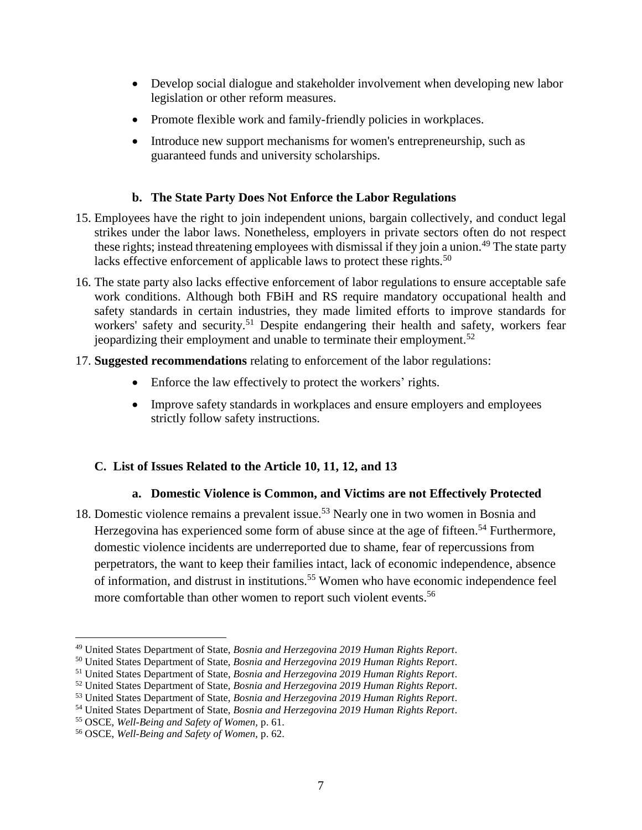- Develop social dialogue and stakeholder involvement when developing new labor legislation or other reform measures.
- Promote flexible work and family-friendly policies in workplaces.
- Introduce new support mechanisms for women's entrepreneurship, such as guaranteed funds and university scholarships.

### **b. The State Party Does Not Enforce the Labor Regulations**

- 15. Employees have the right to join independent unions, bargain collectively, and conduct legal strikes under the labor laws. Nonetheless, employers in private sectors often do not respect these rights; instead threatening employees with dismissal if they join a union.<sup>49</sup> The state party lacks effective enforcement of applicable laws to protect these rights.<sup>50</sup>
- 16. The state party also lacks effective enforcement of labor regulations to ensure acceptable safe work conditions. Although both FBiH and RS require mandatory occupational health and safety standards in certain industries, they made limited efforts to improve standards for workers' safety and security.<sup>51</sup> Despite endangering their health and safety, workers fear jeopardizing their employment and unable to terminate their employment.<sup>52</sup>
- 17. **Suggested recommendations** relating to enforcement of the labor regulations:
	- Enforce the law effectively to protect the workers' rights.
	- Improve safety standards in workplaces and ensure employers and employees strictly follow safety instructions.

## **C. List of Issues Related to the Article 10, 11, 12, and 13**

## **a. Domestic Violence is Common, and Victims are not Effectively Protected**

18. Domestic violence remains a prevalent issue. <sup>53</sup> Nearly one in two women in Bosnia and Herzegovina has experienced some form of abuse since at the age of fifteen.<sup>54</sup> Furthermore, domestic violence incidents are underreported due to shame, fear of repercussions from perpetrators, the want to keep their families intact, lack of economic independence, absence of information, and distrust in institutions.<sup>55</sup> Women who have economic independence feel more comfortable than other women to report such violent events.<sup>56</sup>

<sup>49</sup> United States Department of State, *Bosnia and Herzegovina 2019 Human Rights Report*.

<sup>50</sup> United States Department of State, *Bosnia and Herzegovina 2019 Human Rights Report*.

<sup>51</sup> United States Department of State, *Bosnia and Herzegovina 2019 Human Rights Report*.

<sup>52</sup> United States Department of State, *Bosnia and Herzegovina 2019 Human Rights Report*.

<sup>53</sup> United States Department of State, *Bosnia and Herzegovina 2019 Human Rights Report*.

<sup>54</sup> United States Department of State, *Bosnia and Herzegovina 2019 Human Rights Report*.

<sup>55</sup> OSCE, *Well-Being and Safety of Women,* p. 61.

<sup>56</sup> OSCE, *Well-Being and Safety of Women,* p. 62.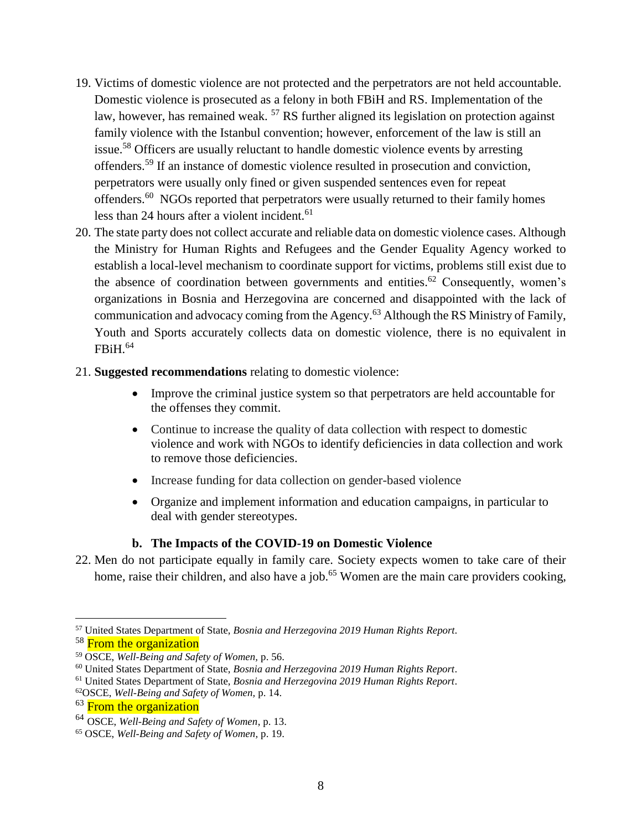- 19. Victims of domestic violence are not protected and the perpetrators are not held accountable. Domestic violence is prosecuted as a felony in both FBiH and RS. Implementation of the law, however, has remained weak.  $57$  RS further aligned its legislation on protection against family violence with the Istanbul convention; however, enforcement of the law is still an issue. <sup>58</sup> Officers are usually reluctant to handle domestic violence events by arresting offenders.<sup>59</sup> If an instance of domestic violence resulted in prosecution and conviction, perpetrators were usually only fined or given suspended sentences even for repeat offenders.<sup>60</sup> NGOs reported that perpetrators were usually returned to their family homes less than 24 hours after a violent incident. $61$
- 20. The state party does not collect accurate and reliable data on domestic violence cases. Although the Ministry for Human Rights and Refugees and the Gender Equality Agency worked to establish a local-level mechanism to coordinate support for victims, problems still exist due to the absence of coordination between governments and entities.<sup>62</sup> Consequently, women's organizations in Bosnia and Herzegovina are concerned and disappointed with the lack of communication and advocacy coming from the Agency.<sup>63</sup> Although the RS Ministry of Family, Youth and Sports accurately collects data on domestic violence, there is no equivalent in FBiH. 64
- 21. **Suggested recommendations** relating to domestic violence:
	- Improve the criminal justice system so that perpetrators are held accountable for the offenses they commit.
	- Continue to increase the quality of data collection with respect to domestic violence and work with NGOs to identify deficiencies in data collection and work to remove those deficiencies.
	- Increase funding for data collection on gender-based violence
	- Organize and implement information and education campaigns, in particular to deal with gender stereotypes.

#### **b. The Impacts of the COVID-19 on Domestic Violence**

22. Men do not participate equally in family care. Society expects women to take care of their home, raise their children, and also have a job.<sup>65</sup> Women are the main care providers cooking,

<sup>57</sup> United States Department of State, *Bosnia and Herzegovina 2019 Human Rights Report*.

<sup>&</sup>lt;sup>58</sup> From the organization

<sup>59</sup> OSCE, *Well-Being and Safety of Women,* p. 56.

<sup>60</sup> United States Department of State, *Bosnia and Herzegovina 2019 Human Rights Report*.

<sup>61</sup> United States Department of State, *Bosnia and Herzegovina 2019 Human Rights Report*.

<sup>62</sup>OSCE, *Well-Being and Safety of Women,* p. 14.

<sup>&</sup>lt;sup>63</sup> From the organization

<sup>64</sup> OSCE, *Well-Being and Safety of Women*, p. 13.

<sup>65</sup> OSCE, *Well-Being and Safety of Women,* p. 19.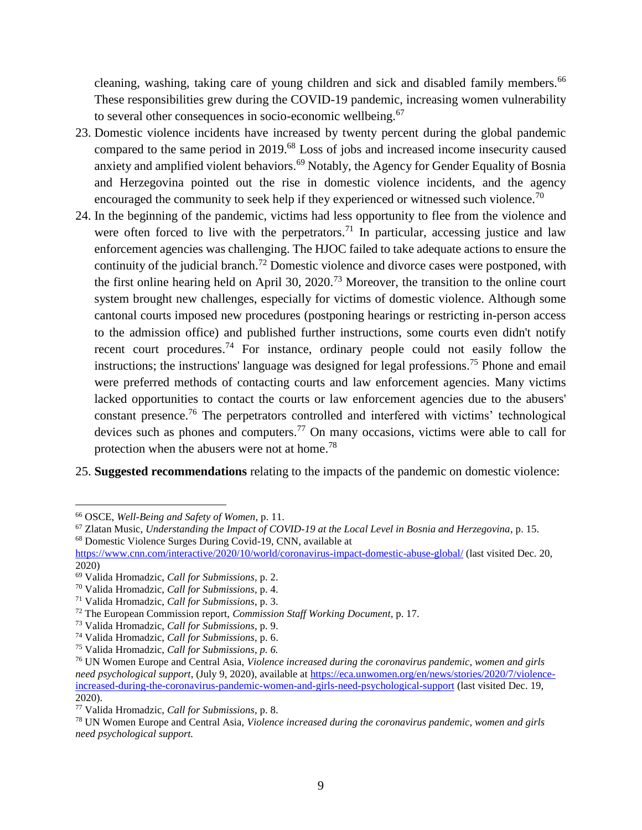cleaning, washing, taking care of young children and sick and disabled family members.<sup>66</sup> These responsibilities grew during the COVID-19 pandemic, increasing women vulnerability to several other consequences in socio-economic wellbeing.<sup>67</sup>

- 23. Domestic violence incidents have increased by twenty percent during the global pandemic compared to the same period in 2019.<sup>68</sup> Loss of jobs and increased income insecurity caused anxiety and amplified violent behaviors.<sup>69</sup> Notably, the Agency for Gender Equality of Bosnia and Herzegovina pointed out the rise in domestic violence incidents, and the agency encouraged the community to seek help if they experienced or witnessed such violence.<sup>70</sup>
- 24. In the beginning of the pandemic, victims had less opportunity to flee from the violence and were often forced to live with the perpetrators.<sup>71</sup> In particular, accessing justice and law enforcement agencies was challenging. The HJOC failed to take adequate actions to ensure the continuity of the judicial branch.<sup>72</sup> Domestic violence and divorce cases were postponed, with the first online hearing held on April 30, 2020.<sup>73</sup> Moreover, the transition to the online court system brought new challenges, especially for victims of domestic violence. Although some cantonal courts imposed new procedures (postponing hearings or restricting in-person access to the admission office) and published further instructions, some courts even didn't notify recent court procedures.<sup>74</sup> For instance, ordinary people could not easily follow the instructions; the instructions' language was designed for legal professions.<sup>75</sup> Phone and email were preferred methods of contacting courts and law enforcement agencies. Many victims lacked opportunities to contact the courts or law enforcement agencies due to the abusers' constant presence.<sup>76</sup> The perpetrators controlled and interfered with victims' technological devices such as phones and computers.<sup>77</sup> On many occasions, victims were able to call for protection when the abusers were not at home.<sup>78</sup>
- 25. **Suggested recommendations** relating to the impacts of the pandemic on domestic violence:

<sup>66</sup> OSCE, *Well-Being and Safety of Women,* p. 11.

<sup>67</sup> Zlatan Music, *Understanding the Impact of COVID-19 at the Local Level in Bosnia and Herzegovina*, p. 15. <sup>68</sup> Domestic Violence Surges During Covid-19, CNN, available at

<https://www.cnn.com/interactive/2020/10/world/coronavirus-impact-domestic-abuse-global/> (last visited Dec. 20, 2020)

<sup>69</sup> Valida Hromadzic, *Call for Submissions,* p. 2.

<sup>70</sup> Valida Hromadzic, *Call for Submissions,* p. 4.

<sup>71</sup> Valida Hromadzic, *Call for Submissions*, p. 3.

<sup>72</sup> The European Commission report, *Commission Staff Working Document,* p. 17.

<sup>73</sup> Valida Hromadzic, *Call for Submissions*, p. 9.

<sup>74</sup> Valida Hromadzic, *Call for Submissions*, p. 6.

<sup>75</sup> Valida Hromadzic, *Call for Submissions, p. 6.*

<sup>76</sup> UN Women Europe and Central Asia, *Violence increased during the coronavirus pandemic, women and girls need psychological support*, (July 9, 2020), available at [https://eca.unwomen.org/en/news/stories/2020/7/violence](https://eca.unwomen.org/en/news/stories/2020/7/violence-increased-during-the-coronavirus-pandemic-women-and-girls-need-psychological-support)[increased-during-the-coronavirus-pandemic-women-and-girls-need-psychological-support](https://eca.unwomen.org/en/news/stories/2020/7/violence-increased-during-the-coronavirus-pandemic-women-and-girls-need-psychological-support) (last visited Dec. 19, 2020).

<sup>77</sup> Valida Hromadzic, *Call for Submissions,* p. 8.

<sup>78</sup> UN Women Europe and Central Asia, *Violence increased during the coronavirus pandemic, women and girls need psychological support.*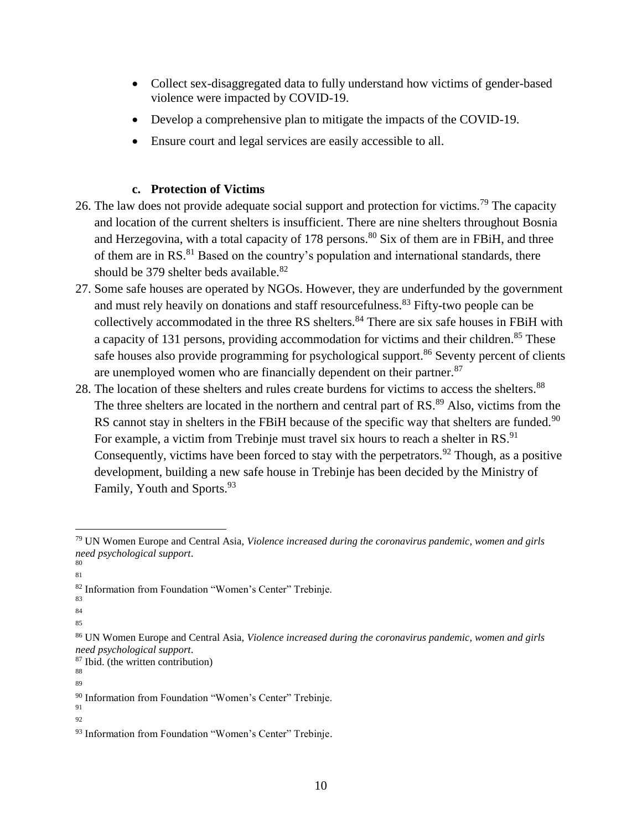- Collect sex-disaggregated data to fully understand how victims of gender-based violence were impacted by COVID-19.
- Develop a comprehensive plan to mitigate the impacts of the COVID-19.
- Ensure court and legal services are easily accessible to all.

### **c. Protection of Victims**

- 26. The law does not provide adequate social support and protection for victims.<sup>79</sup> The capacity and location of the current shelters is insufficient. There are nine shelters throughout Bosnia and Herzegovina, with a total capacity of 178 persons.<sup>80</sup> Six of them are in FBiH, and three of them are in RS.<sup>81</sup> Based on the country's population and international standards, there should be 379 shelter beds available.<sup>82</sup>
- 27. Some safe houses are operated by NGOs. However, they are underfunded by the government and must rely heavily on donations and staff resourcefulness.<sup>83</sup> Fifty-two people can be collectively accommodated in the three RS shelters.<sup>84</sup> There are six safe houses in FBiH with a capacity of 131 persons, providing accommodation for victims and their children.<sup>85</sup> These safe houses also provide programming for psychological support.<sup>86</sup> Seventy percent of clients are unemployed women who are financially dependent on their partner.<sup>87</sup>
- 28. The location of these shelters and rules create burdens for victims to access the shelters.<sup>88</sup> The three shelters are located in the northern and central part of RS.<sup>89</sup> Also, victims from the RS cannot stay in shelters in the FBiH because of the specific way that shelters are funded.<sup>90</sup> For example, a victim from Trebinje must travel six hours to reach a shelter in RS.<sup>91</sup> Consequently, victims have been forced to stay with the perpetrators. <sup>92</sup> Though, as a positive development, building a new safe house in Trebinje has been decided by the Ministry of Family, Youth and Sports.<sup>93</sup>

 $\overline{a}$ 

83

88 89

<sup>79</sup> UN Women Europe and Central Asia, *Violence increased during the coronavirus pandemic, women and girls need psychological support*.

<sup>80</sup> 81

<sup>82</sup> Information from Foundation "Women's Center" Trebinje.

<sup>84</sup>

<sup>85</sup>

<sup>86</sup> UN Women Europe and Central Asia, *Violence increased during the coronavirus pandemic, women and girls need psychological support*.

<sup>87</sup> Ibid. (the written contribution)

<sup>&</sup>lt;sup>90</sup> Information from Foundation "Women's Center" Trebinje. 91

<sup>92</sup>

<sup>93</sup> Information from Foundation "Women's Center" Trebinje.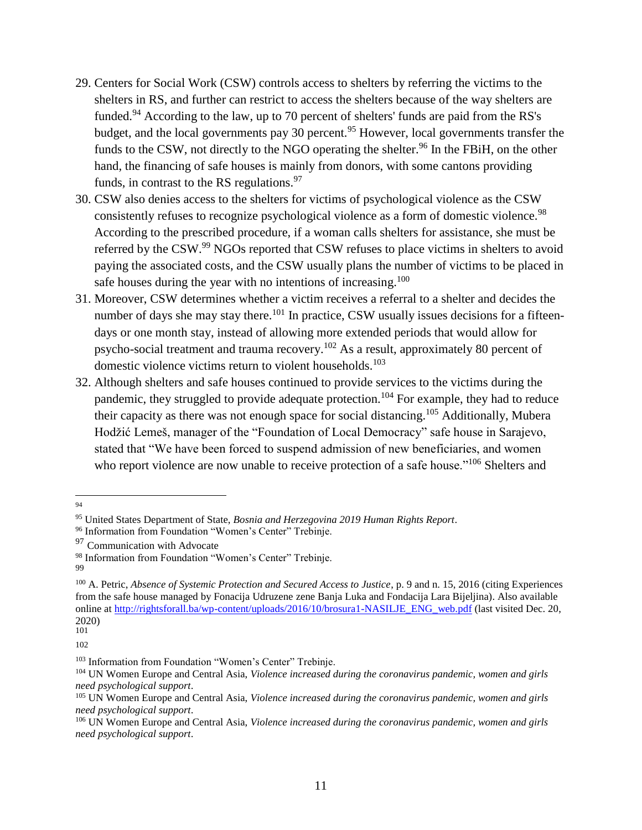- 29. Centers for Social Work (CSW) controls access to shelters by referring the victims to the shelters in RS, and further can restrict to access the shelters because of the way shelters are funded.<sup>94</sup> According to the law, up to 70 percent of shelters' funds are paid from the RS's budget, and the local governments pay 30 percent.<sup>95</sup> However, local governments transfer the funds to the CSW, not directly to the NGO operating the shelter.<sup>96</sup> In the FBiH, on the other hand, the financing of safe houses is mainly from donors, with some cantons providing funds, in contrast to the RS regulations.<sup>97</sup>
- 30. CSW also denies access to the shelters for victims of psychological violence as the CSW consistently refuses to recognize psychological violence as a form of domestic violence.<sup>98</sup> According to the prescribed procedure, if a woman calls shelters for assistance, she must be referred by the CSW.<sup>99</sup> NGOs reported that CSW refuses to place victims in shelters to avoid paying the associated costs, and the CSW usually plans the number of victims to be placed in safe houses during the year with no intentions of increasing.<sup>100</sup>
- 31. Moreover, CSW determines whether a victim receives a referral to a shelter and decides the number of days she may stay there.<sup>101</sup> In practice, CSW usually issues decisions for a fifteendays or one month stay, instead of allowing more extended periods that would allow for psycho-social treatment and trauma recovery. <sup>102</sup> As a result, approximately 80 percent of domestic violence victims return to violent households.<sup>103</sup>
- 32. Although shelters and safe houses continued to provide services to the victims during the pandemic, they struggled to provide adequate protection.<sup>104</sup> For example, they had to reduce their capacity as there was not enough space for social distancing.<sup>105</sup> Additionally, Mubera Hodžić Lemeš, manager of the "Foundation of Local Democracy" safe house in Sarajevo, stated that "We have been forced to suspend admission of new beneficiaries, and women who report violence are now unable to receive protection of a safe house."<sup>106</sup> Shelters and

 $\overline{a}$ 94

<sup>95</sup> United States Department of State, *Bosnia and Herzegovina 2019 Human Rights Report*.

<sup>96</sup> Information from Foundation "Women's Center" Trebinje.

<sup>&</sup>lt;sup>97</sup> Communication with Advocate

<sup>98</sup> Information from Foundation "Women's Center" Trebinje.

<sup>99</sup>

<sup>100</sup> A. Petric, *Absence of Systemic Protection and Secured Access to Justice*, p. 9 and n. 15, 2016 (citing Experiences from the safe house managed by Fonacija Udruzene zene Banja Luka and Fondacija Lara Bijeljina). Also available online at [http://rightsforall.ba/wp-content/uploads/2016/10/brosura1-NASILJE\\_ENG\\_web.pdf](http://rightsforall.ba/wp-content/uploads/2016/10/brosura1-NASILJE_ENG_web.pdf) (last visited Dec. 20, 2020) 101

<sup>102</sup>

<sup>&</sup>lt;sup>103</sup> Information from Foundation "Women's Center" Trebinie.

<sup>104</sup> UN Women Europe and Central Asia, *Violence increased during the coronavirus pandemic, women and girls need psychological support*.

<sup>105</sup> UN Women Europe and Central Asia, *Violence increased during the coronavirus pandemic, women and girls need psychological support*.

<sup>106</sup> UN Women Europe and Central Asia, *Violence increased during the coronavirus pandemic, women and girls need psychological support*.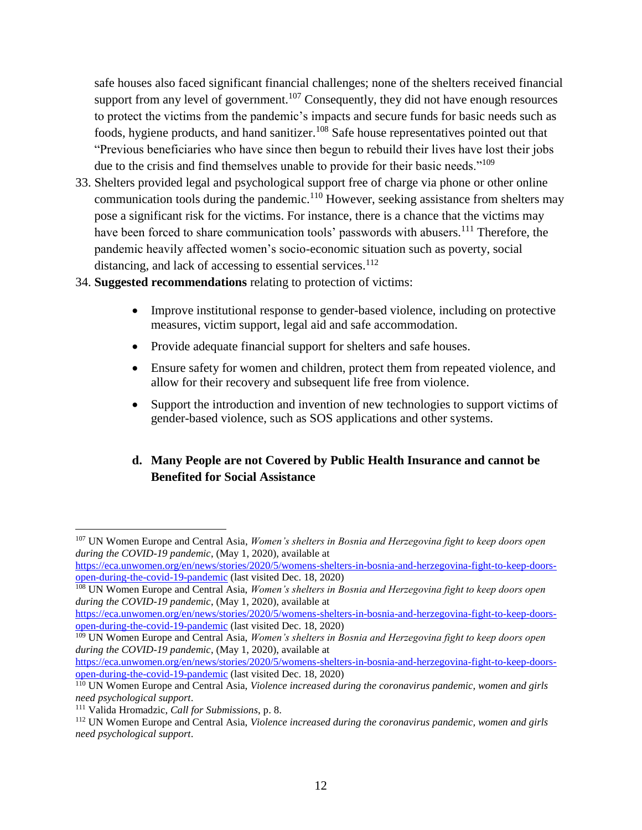safe houses also faced significant financial challenges; none of the shelters received financial support from any level of government.<sup>107</sup> Consequently, they did not have enough resources to protect the victims from the pandemic's impacts and secure funds for basic needs such as foods, hygiene products, and hand sanitizer.<sup>108</sup> Safe house representatives pointed out that "Previous beneficiaries who have since then begun to rebuild their lives have lost their jobs due to the crisis and find themselves unable to provide for their basic needs."<sup>109</sup>

- 33. Shelters provided legal and psychological support free of charge via phone or other online communication tools during the pandemic.<sup>110</sup> However, seeking assistance from shelters may pose a significant risk for the victims. For instance, there is a chance that the victims may have been forced to share communication tools' passwords with abusers.<sup>111</sup> Therefore, the pandemic heavily affected women's socio-economic situation such as poverty, social distancing, and lack of accessing to essential services.<sup>112</sup>
- 34. **Suggested recommendations** relating to protection of victims:
	- Improve institutional response to gender-based violence, including on protective measures, victim support, legal aid and safe accommodation.
	- Provide adequate financial support for shelters and safe houses.
	- Ensure safety for women and children, protect them from repeated violence, and allow for their recovery and subsequent life free from violence.
	- Support the introduction and invention of new technologies to support victims of gender-based violence, such as SOS applications and other systems.

## **d. Many People are not Covered by Public Health Insurance and cannot be Benefited for Social Assistance**

<sup>107</sup> UN Women Europe and Central Asia, *Women's shelters in Bosnia and Herzegovina fight to keep doors open during the COVID-19 pandemic*, (May 1, 2020), available at

[https://eca.unwomen.org/en/news/stories/2020/5/womens-shelters-in-bosnia-and-herzegovina-fight-to-keep-doors](https://eca.unwomen.org/en/news/stories/2020/5/womens-shelters-in-bosnia-and-herzegovina-fight-to-keep-doors-open-during-the-covid-19-pandemic)[open-during-the-covid-19-pandemic](https://eca.unwomen.org/en/news/stories/2020/5/womens-shelters-in-bosnia-and-herzegovina-fight-to-keep-doors-open-during-the-covid-19-pandemic) (last visited Dec. 18, 2020)

<sup>&</sup>lt;sup>108</sup> UN Women Europe and Central Asia, *Women's shelters in Bosnia and Herzegovina fight to keep doors open during the COVID-19 pandemic*, (May 1, 2020), available at

[https://eca.unwomen.org/en/news/stories/2020/5/womens-shelters-in-bosnia-and-herzegovina-fight-to-keep-doors](https://eca.unwomen.org/en/news/stories/2020/5/womens-shelters-in-bosnia-and-herzegovina-fight-to-keep-doors-open-during-the-covid-19-pandemic)[open-during-the-covid-19-pandemic](https://eca.unwomen.org/en/news/stories/2020/5/womens-shelters-in-bosnia-and-herzegovina-fight-to-keep-doors-open-during-the-covid-19-pandemic) (last visited Dec. 18, 2020)

<sup>&</sup>lt;sup>109</sup> UN Women Europe and Central Asia, *Women's shelters in Bosnia and Herzegovina fight to keep doors open during the COVID-19 pandemic*, (May 1, 2020), available at

[https://eca.unwomen.org/en/news/stories/2020/5/womens-shelters-in-bosnia-and-herzegovina-fight-to-keep-doors](https://eca.unwomen.org/en/news/stories/2020/5/womens-shelters-in-bosnia-and-herzegovina-fight-to-keep-doors-open-during-the-covid-19-pandemic)[open-during-the-covid-19-pandemic](https://eca.unwomen.org/en/news/stories/2020/5/womens-shelters-in-bosnia-and-herzegovina-fight-to-keep-doors-open-during-the-covid-19-pandemic) (last visited Dec. 18, 2020)

<sup>110</sup> UN Women Europe and Central Asia, *Violence increased during the coronavirus pandemic, women and girls need psychological support*.

<sup>111</sup> Valida Hromadzic, *Call for Submissions*, p. 8.

<sup>112</sup> UN Women Europe and Central Asia, *Violence increased during the coronavirus pandemic, women and girls need psychological support*.